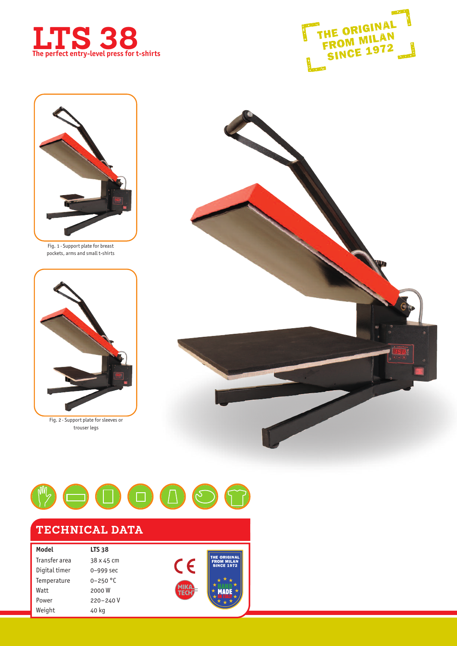





Fig. 1 · Support plate for breast pockets, arms and small t-shirts



Fig. 2 · Support plate for sleeves or trouser legs





## **TECHNICAL DATA**

| Model         | <b>LTS 38</b> |
|---------------|---------------|
| Transfer area | 38 x 45 cm    |
| Digital timer | 0-999 sec     |
| Temperature   | $0 - 250$ °C  |
| Watt          | 2000W         |
| Power         | 220-240V      |
| Weight        | 40 kg         |



**MADE**